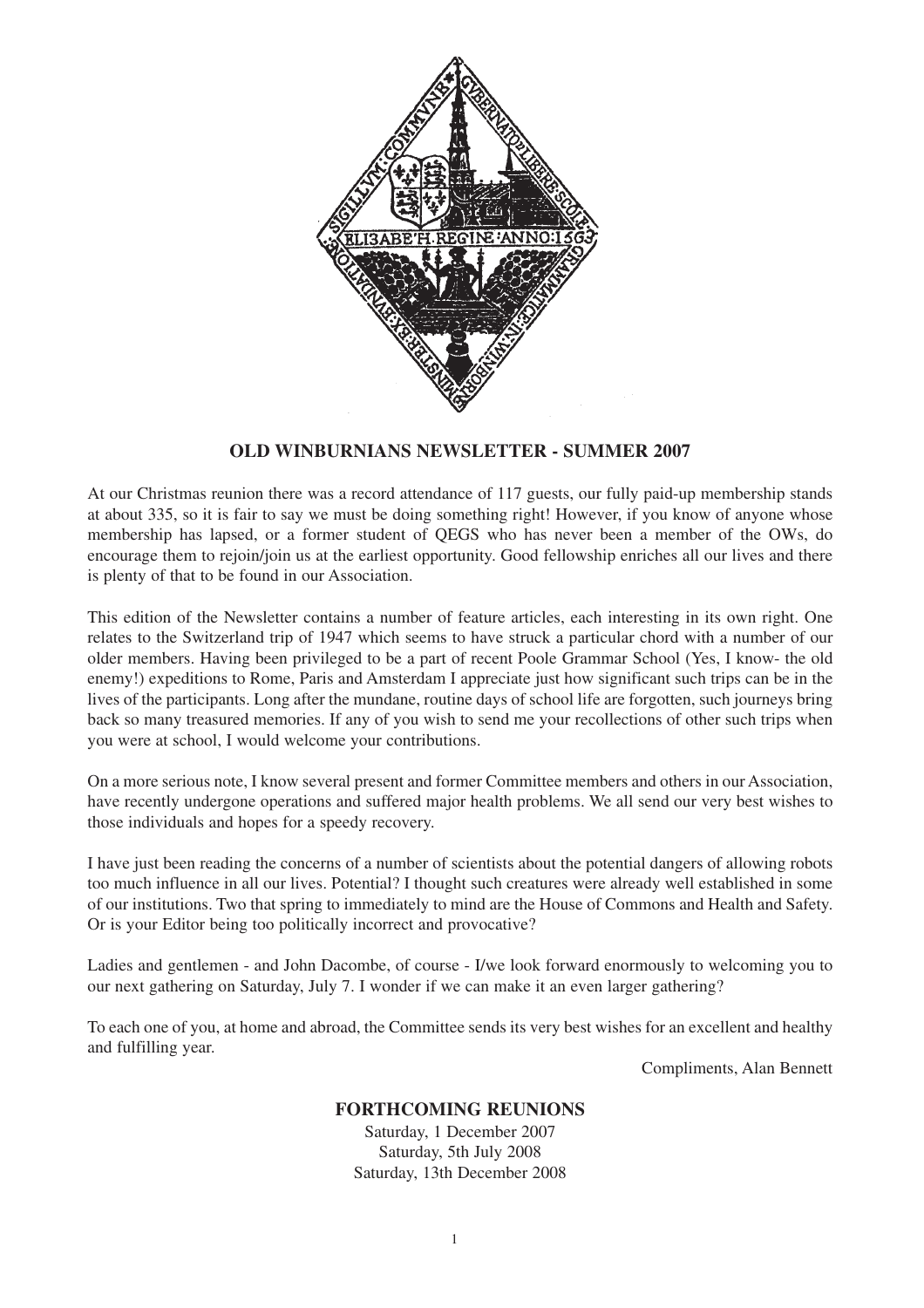

# **OLD WINBURNIANS NEWSLETTER - SUMMER 2007**

At our Christmas reunion there was a record attendance of 117 guests, our fully paid-up membership stands at about 335, so it is fair to say we must be doing something right! However, if you know of anyone whose membership has lapsed, or a former student of QEGS who has never been a member of the OWs, do encourage them to rejoin/join us at the earliest opportunity. Good fellowship enriches all our lives and there is plenty of that to be found in our Association.

This edition of the Newsletter contains a number of feature articles, each interesting in its own right. One relates to the Switzerland trip of 1947 which seems to have struck a particular chord with a number of our older members. Having been privileged to be a part of recent Poole Grammar School (Yes, I know- the old enemy!) expeditions to Rome, Paris and Amsterdam I appreciate just how significant such trips can be in the lives of the participants. Long after the mundane, routine days of school life are forgotten, such journeys bring back so many treasured memories. If any of you wish to send me your recollections of other such trips when you were at school, I would welcome your contributions.

On a more serious note, I know several present and former Committee members and others in our Association, have recently undergone operations and suffered major health problems. We all send our very best wishes to those individuals and hopes for a speedy recovery.

I have just been reading the concerns of a number of scientists about the potential dangers of allowing robots too much influence in all our lives. Potential? I thought such creatures were already well established in some of our institutions. Two that spring to immediately to mind are the House of Commons and Health and Safety. Or is your Editor being too politically incorrect and provocative?

Ladies and gentlemen - and John Dacombe, of course - I/we look forward enormously to welcoming you to our next gathering on Saturday, July 7. I wonder if we can make it an even larger gathering?

To each one of you, at home and abroad, the Committee sends its very best wishes for an excellent and healthy and fulfilling year.

Compliments, Alan Bennett

#### **FORTHCOMING REUNIONS**

Saturday, 1 December 2007 Saturday, 5th July 2008 Saturday, 13th December 2008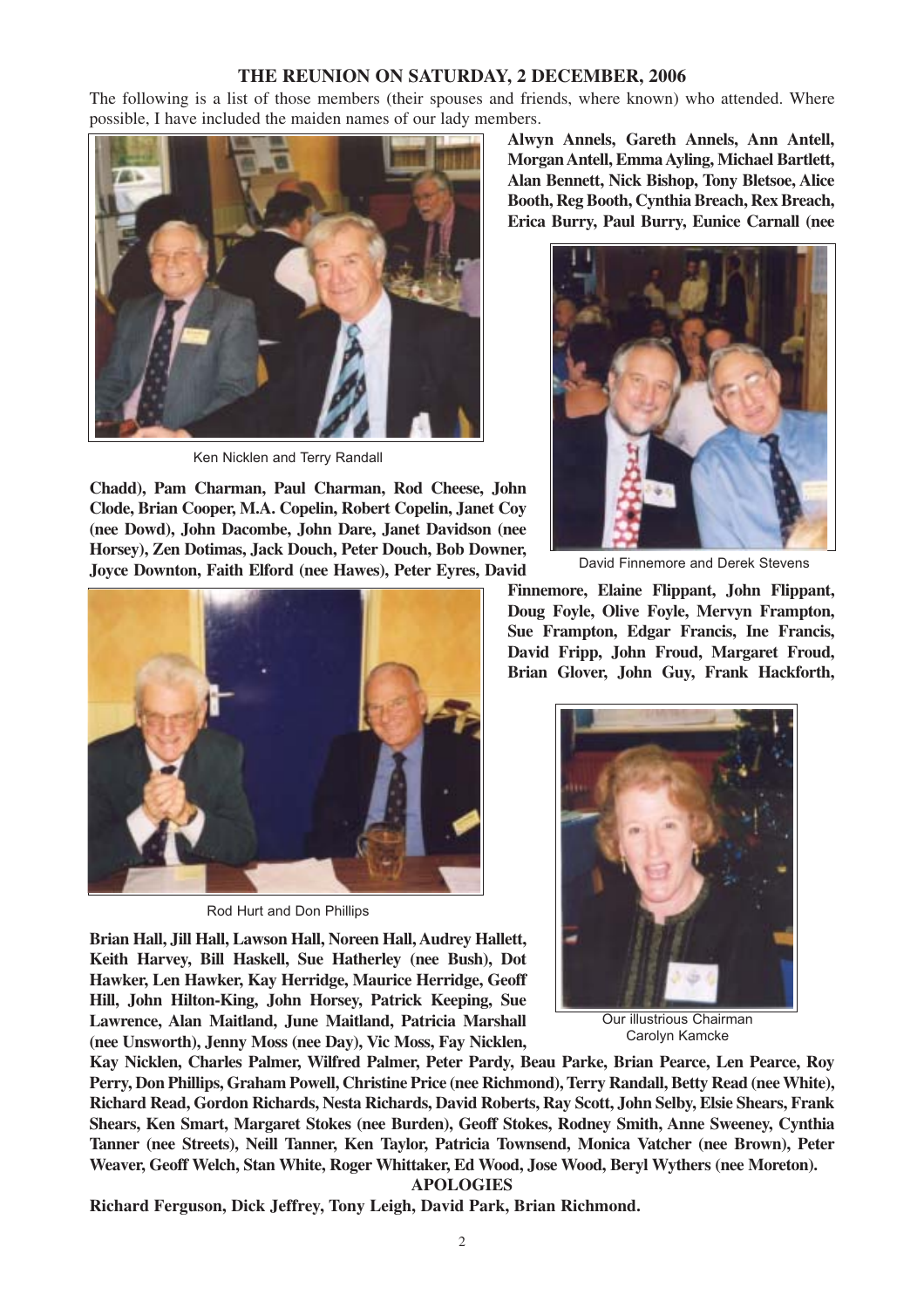# **THE REUNION ON SATURDAY, 2 DECEMBER, 2006**

The following is a list of those members (their spouses and friends, where known) who attended. Where possible, I have included the maiden names of our lady members.



Ken Nicklen and Terry Randall

**Chadd), Pam Charman, Paul Charman, Rod Cheese, John Clode, Brian Cooper, M.A. Copelin, Robert Copelin, Janet Coy (nee Dowd), John Dacombe, John Dare, Janet Davidson (nee Horsey), Zen Dotimas, Jack Douch, Peter Douch, Bob Downer, Joyce Downton, Faith Elford (nee Hawes), Peter Eyres, David**



Rod Hurt and Don Phillips

**Brian Hall, Jill Hall, Lawson Hall, Noreen Hall, Audrey Hallett, Keith Harvey, Bill Haskell, Sue Hatherley (nee Bush), Dot Hawker, Len Hawker, Kay Herridge, Maurice Herridge, Geoff Hill, John Hilton-King, John Horsey, Patrick Keeping, Sue Lawrence, Alan Maitland, June Maitland, Patricia Marshall (nee Unsworth), Jenny Moss (nee Day), Vic Moss, Fay Nicklen,**

**Alwyn Annels, Gareth Annels, Ann Antell, Morgan Antell, Emma Ayling, Michael Bartlett, Alan Bennett, Nick Bishop, Tony Bletsoe, Alice Booth, Reg Booth, Cynthia Breach, Rex Breach, Erica Burry, Paul Burry, Eunice Carnall (nee**



David Finnemore and Derek Stevens

**Finnemore, Elaine Flippant, John Flippant, Doug Foyle, Olive Foyle, Mervyn Frampton, Sue Frampton, Edgar Francis, Ine Francis, David Fripp, John Froud, Margaret Froud, Brian Glover, John Guy, Frank Hackforth,**



Our illustrious Chairman Carolyn Kamcke

**Kay Nicklen, Charles Palmer, Wilfred Palmer, Peter Pardy, Beau Parke, Brian Pearce, Len Pearce, Roy Perry, Don Phillips, Graham Powell, Christine Price (nee Richmond), Terry Randall, Betty Read (nee White), Richard Read, Gordon Richards, Nesta Richards, David Roberts, Ray Scott, John Selby, Elsie Shears, Frank Shears, Ken Smart, Margaret Stokes (nee Burden), Geoff Stokes, Rodney Smith, Anne Sweeney, Cynthia Tanner (nee Streets), Neill Tanner, Ken Taylor, Patricia Townsend, Monica Vatcher (nee Brown), Peter Weaver, Geoff Welch, Stan White, Roger Whittaker, Ed Wood, Jose Wood, Beryl Wythers (nee Moreton).**

**APOLOGIES**

**Richard Ferguson, Dick Jeffrey, Tony Leigh, David Park, Brian Richmond.**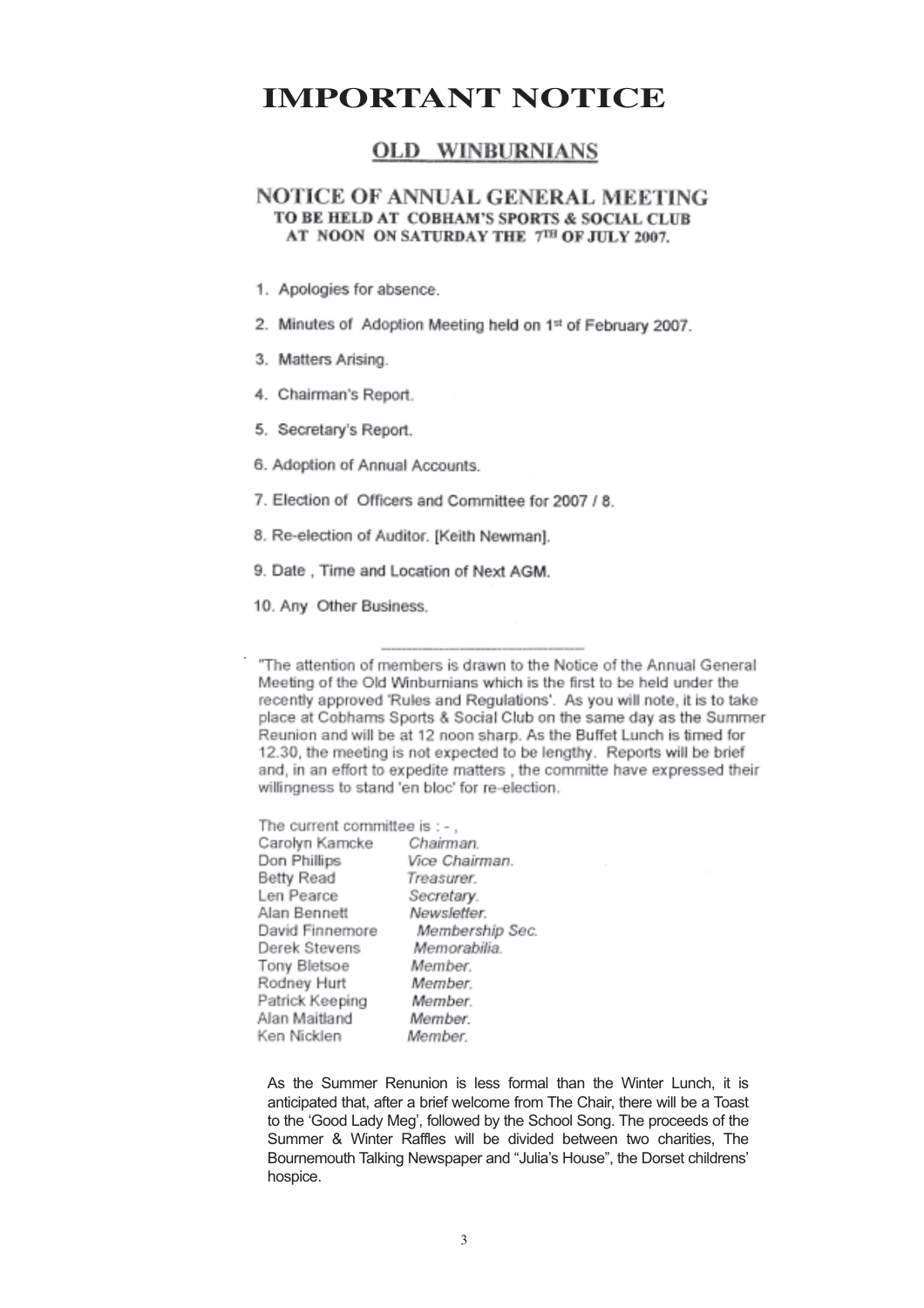# **IMPORTANT NOTICE**

# **OLD WINBURNIANS**

### NOTICE OF ANNUAL GENERAL MEETING TO BE HELD AT COBHAM'S SPORTS & SOCIAL CLUB AT NOON ON SATURDAY THE 7TH OF JULY 2007.

- 1. Apologies for absence.
- 2. Minutes of Adoption Meeting held on 1st of February 2007.
- 3. Matters Arising.
- 4. Chairman's Report.
- 5. Secretary's Report.
- 6. Adoption of Annual Accounts.
- 7. Election of Officers and Committee for 2007 / 8.
- 8. Re-election of Auditor. [Keith Newman].
- 9. Date, Time and Location of Next AGM.
- 10. Any Other Business.

"The attention of members is drawn to the Notice of the Annual General Meeting of the Old Winburnians which is the first to be held under the recently approved 'Rules and Regulations'. As you will note, it is to take place at Cobhams Sports & Social Club on the same day as the Summer Reunion and will be at 12 noon sharp. As the Buffet Lunch is timed for 12.30, the meeting is not expected to be lengthy. Reports will be brief and, in an effort to expedite matters, the committe have expressed their willingness to stand 'en bloc' for re-election.

The current committee is : -. Carolyn Kamcke Chairman, Don Phillips Vice Chairman. Born Prinings<br>Betty Read<br>Len Pearce Treasurer. Secretary. Alan Bennett Newsletter. David Finnemore Membership Sec. Derek Stevens Memorabilia. Tony Bletsoe Member. Rodney Hurt Member Patrick Keeping Member Alan Maitland Member Ken Nicklen Member.

As the Summer Renunion is less formal than the Winter Lunch, it is anticipated that, after a brief welcome from The Chair, there will be a Toast to the 'Good Lady Meg', followed by the School Song. The proceeds of the Summer & Winter Raffles will be divided between two charities, The Bournemouth Talking Newspaper and "Julia's House", the Dorset childrens' hospice.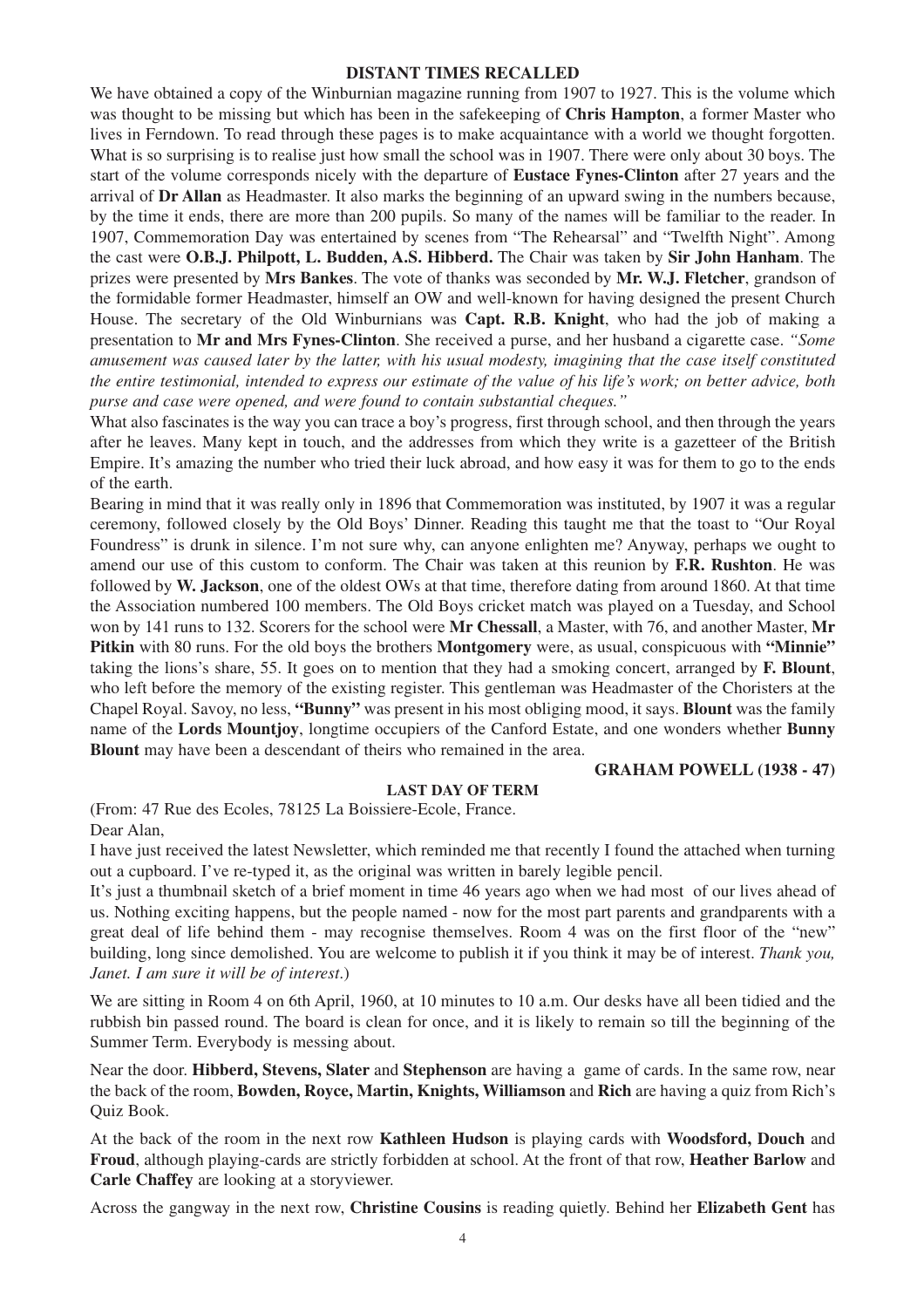#### **DISTANT TIMES RECALLED**

We have obtained a copy of the Winburnian magazine running from 1907 to 1927. This is the volume which was thought to be missing but which has been in the safekeeping of **Chris Hampton**, a former Master who lives in Ferndown. To read through these pages is to make acquaintance with a world we thought forgotten. What is so surprising is to realise just how small the school was in 1907. There were only about 30 boys. The start of the volume corresponds nicely with the departure of **Eustace Fynes-Clinton** after 27 years and the arrival of **Dr Allan** as Headmaster. It also marks the beginning of an upward swing in the numbers because, by the time it ends, there are more than 200 pupils. So many of the names will be familiar to the reader. In 1907, Commemoration Day was entertained by scenes from "The Rehearsal" and "Twelfth Night". Among the cast were **O.B.J. Philpott, L. Budden, A.S. Hibberd.** The Chair was taken by **Sir John Hanham**. The prizes were presented by **Mrs Bankes**. The vote of thanks was seconded by **Mr. W.J. Fletcher**, grandson of the formidable former Headmaster, himself an OW and well-known for having designed the present Church House. The secretary of the Old Winburnians was **Capt. R.B. Knight**, who had the job of making a presentation to **Mr and Mrs Fynes-Clinton**. She received a purse, and her husband a cigarette case. *"Some amusement was caused later by the latter, with his usual modesty, imagining that the case itself constituted the entire testimonial, intended to express our estimate of the value of his life's work; on better advice, both purse and case were opened, and were found to contain substantial cheques."*

What also fascinates is the way you can trace a boy's progress, first through school, and then through the years after he leaves. Many kept in touch, and the addresses from which they write is a gazetteer of the British Empire. It's amazing the number who tried their luck abroad, and how easy it was for them to go to the ends of the earth.

Bearing in mind that it was really only in 1896 that Commemoration was instituted, by 1907 it was a regular ceremony, followed closely by the Old Boys' Dinner. Reading this taught me that the toast to "Our Royal Foundress" is drunk in silence. I'm not sure why, can anyone enlighten me? Anyway, perhaps we ought to amend our use of this custom to conform. The Chair was taken at this reunion by **F.R. Rushton**. He was followed by **W. Jackson**, one of the oldest OWs at that time, therefore dating from around 1860. At that time the Association numbered 100 members. The Old Boys cricket match was played on a Tuesday, and School won by 141 runs to 132. Scorers for the school were **Mr Chessall**, a Master, with 76, and another Master, **Mr Pitkin** with 80 runs. For the old boys the brothers **Montgomery** were, as usual, conspicuous with **"Minnie"** taking the lions's share, 55. It goes on to mention that they had a smoking concert, arranged by **F. Blount**, who left before the memory of the existing register. This gentleman was Headmaster of the Choristers at the Chapel Royal. Savoy, no less, **"Bunny"** was present in his most obliging mood, it says. **Blount** was the family name of the **Lords Mountjoy**, longtime occupiers of the Canford Estate, and one wonders whether **Bunny Blount** may have been a descendant of theirs who remained in the area.

#### **GRAHAM POWELL (1938 - 47)**

### **LAST DAY OF TERM**

(From: 47 Rue des Ecoles, 78125 La Boissiere-Ecole, France. Dear Alan,

I have just received the latest Newsletter, which reminded me that recently I found the attached when turning out a cupboard. I've re-typed it, as the original was written in barely legible pencil.

It's just a thumbnail sketch of a brief moment in time 46 years ago when we had most of our lives ahead of us. Nothing exciting happens, but the people named - now for the most part parents and grandparents with a great deal of life behind them - may recognise themselves. Room 4 was on the first floor of the "new" building, long since demolished. You are welcome to publish it if you think it may be of interest. *Thank you, Janet. I am sure it will be of interest*.)

We are sitting in Room 4 on 6th April, 1960, at 10 minutes to 10 a.m. Our desks have all been tidied and the rubbish bin passed round. The board is clean for once, and it is likely to remain so till the beginning of the Summer Term. Everybody is messing about.

Near the door. **Hibberd, Stevens, Slater** and **Stephenson** are having a game of cards. In the same row, near the back of the room, **Bowden, Royce, Martin, Knights, Williamson** and **Rich** are having a quiz from Rich's Quiz Book.

At the back of the room in the next row **Kathleen Hudson** is playing cards with **Woodsford, Douch** and **Froud**, although playing-cards are strictly forbidden at school. At the front of that row, **Heather Barlow** and **Carle Chaffey** are looking at a storyviewer.

Across the gangway in the next row, **Christine Cousins** is reading quietly. Behind her **Elizabeth Gent** has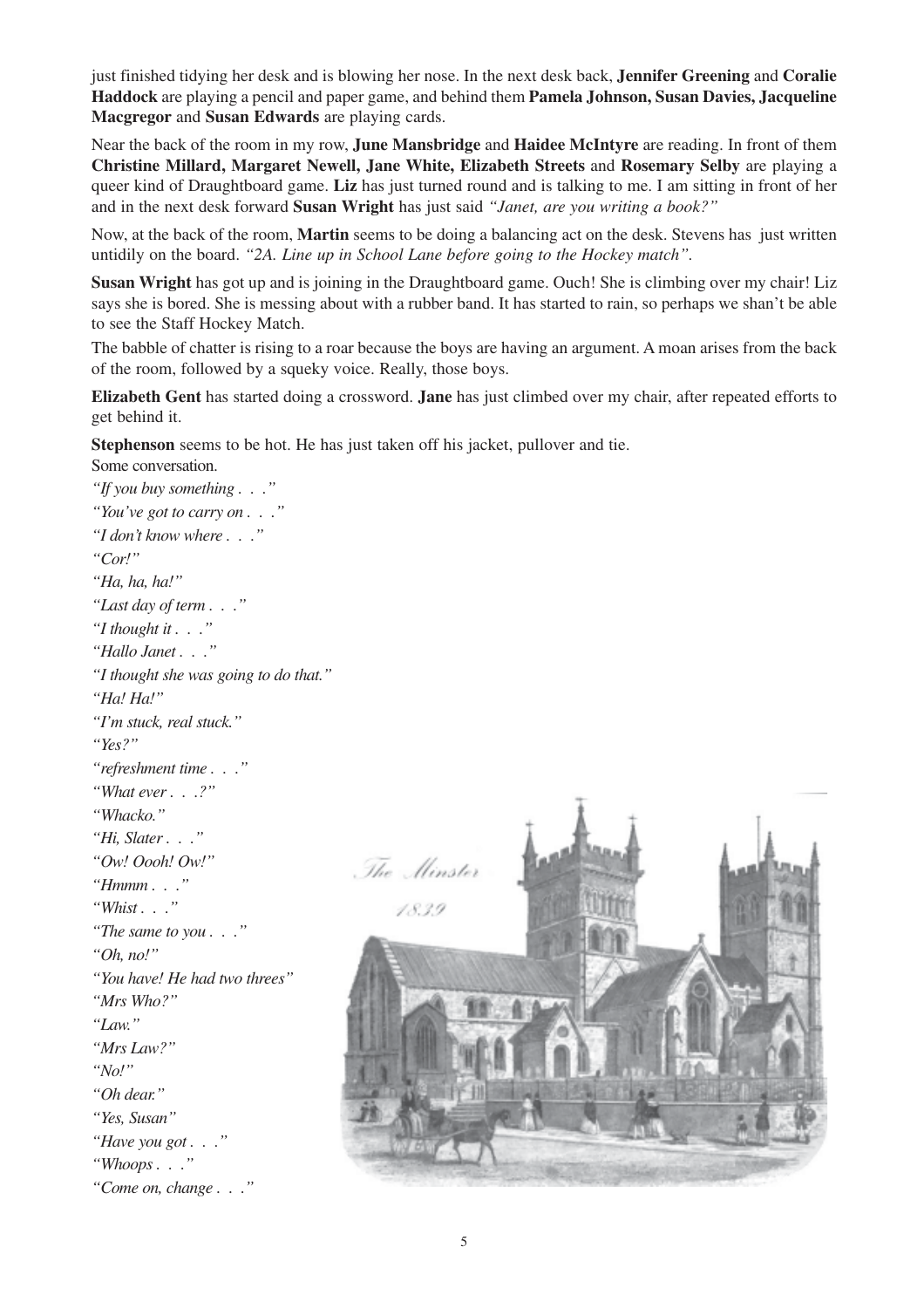just finished tidying her desk and is blowing her nose. In the next desk back, **Jennifer Greening** and **Coralie Haddock** are playing a pencil and paper game, and behind them **Pamela Johnson, Susan Davies, Jacqueline Macgregor** and **Susan Edwards** are playing cards.

Near the back of the room in my row, **June Mansbridge** and **Haidee McIntyre** are reading. In front of them **Christine Millard, Margaret Newell, Jane White, Elizabeth Streets** and **Rosemary Selby** are playing a queer kind of Draughtboard game. **Liz** has just turned round and is talking to me. I am sitting in front of her and in the next desk forward **Susan Wright** has just said *"Janet, are you writing a book?"*

Now, at the back of the room, **Martin** seems to be doing a balancing act on the desk. Stevens has just written untidily on the board. *"2A. Line up in School Lane before going to the Hockey match".*

**Susan Wright** has got up and is joining in the Draughtboard game. Ouch! She is climbing over my chair! Liz says she is bored. She is messing about with a rubber band. It has started to rain, so perhaps we shan't be able to see the Staff Hockey Match.

The babble of chatter is rising to a roar because the boys are having an argument. A moan arises from the back of the room, followed by a squeky voice. Really, those boys.

**Elizabeth Gent** has started doing a crossword. **Jane** has just climbed over my chair, after repeated efforts to get behind it.

**Stephenson** seems to be hot. He has just taken off his jacket, pullover and tie. Some conversation.

*"If you buy something . . ." "You've got to carry on . . ." "I don't know where . . ." "Cor!" "Ha, ha, ha!" "Last day of term . . ." "I thought it . . ." "Hallo Janet . . ." "I thought she was going to do that." "Ha! Ha!" "I'm stuck, real stuck." "Yes?" "refreshment time . . ." "What ever . . .?" "Whacko." "Hi, Slater . . ." "Ow! Oooh! Ow!" "Hmmm . . ." "Whist . . ." "The same to you . . ." "Oh, no!" "You have! He had two threes" "Mrs Who?" "Law." "Mrs Law?" "No!" "Oh dear." "Yes, Susan" "Have you got . . ." "Whoops . . ." "Come on, change . . ."*

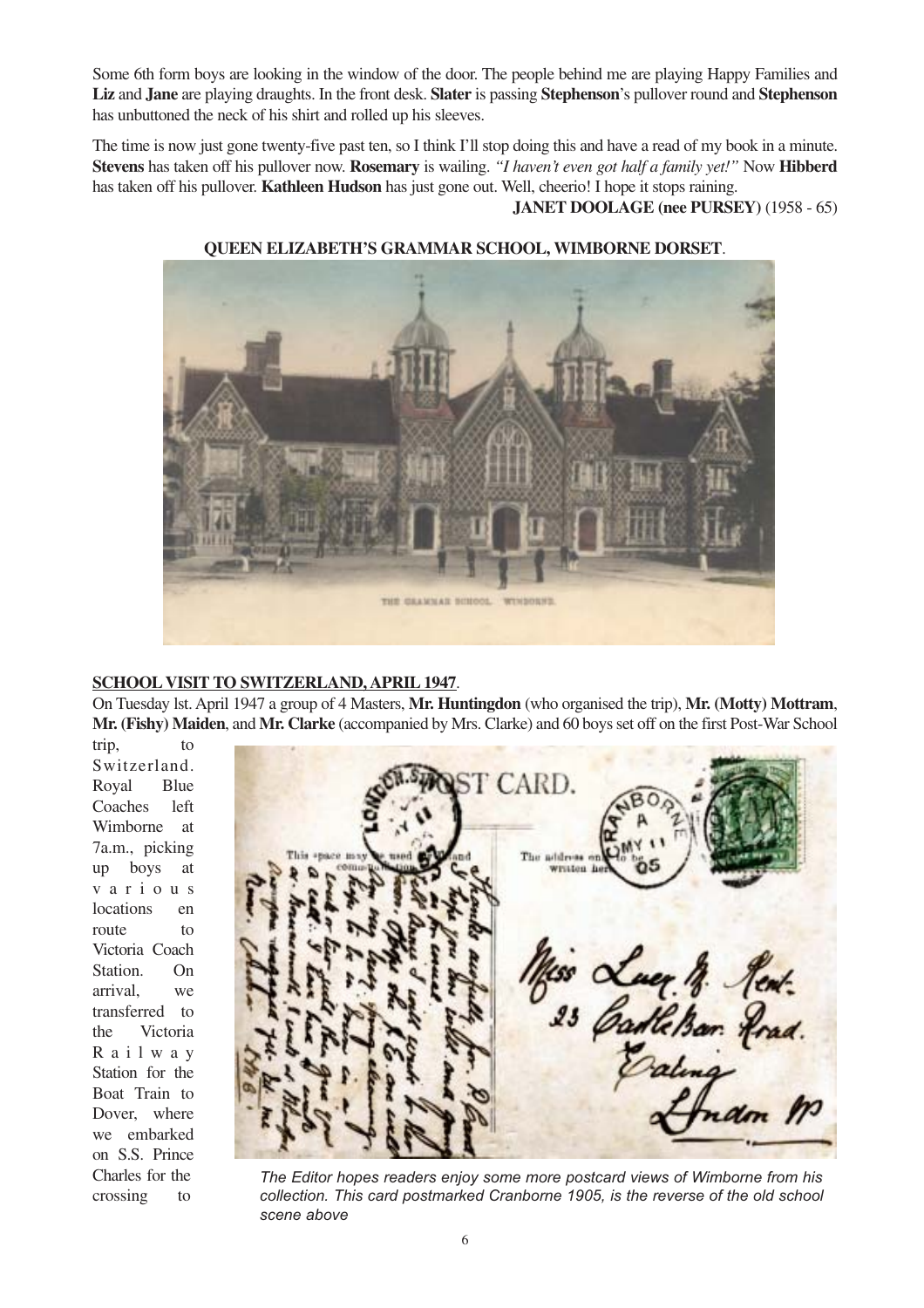Some 6th form boys are looking in the window of the door. The people behind me are playing Happy Families and **Liz** and **Jane** are playing draughts. In the front desk. **Slater** is passing **Stephenson**'s pullover round and **Stephenson** has unbuttoned the neck of his shirt and rolled up his sleeves.

The time is now just gone twenty-five past ten, so I think I'll stop doing this and have a read of my book in a minute. **Stevens** has taken off his pullover now. **Rosemary** is wailing. *"I haven't even got half a family yet!"* Now **Hibberd** has taken off his pullover. **Kathleen Hudson** has just gone out. Well, cheerio! I hope it stops raining.

**JANET DOOLAGE (nee PURSEY)** (1958 - 65)



#### **QUEEN ELIZABETH'S GRAMMAR SCHOOL, WIMBORNE DORSET**.

#### **SCHOOL VISIT TO SWITZERLAND, APRIL 1947.**

On Tuesday lst. April 1947 a group of 4 Masters, **Mr. Huntingdon** (who organised the trip), **Mr. (Motty) Mottram**, **Mr. (Fishy) Maiden**, and **Mr. Clarke** (accompanied by Mrs. Clarke) and 60 boys set off on the first Post-War School

trip, to Switzerland. Royal Blue Coaches left Wimborne at 7a.m., picking up boys at various locations en route to Victoria Coach Station. On arrival, we transferred to the Victoria Railway Station for the Boat Train to Dover, where we embarked on S.S. Prince Charles for the crossing to



*The Editor hopes readers enjoy some more postcard views of Wimborne from his collection. This card postmarked Cranborne 1905, is the reverse of the old school scene above*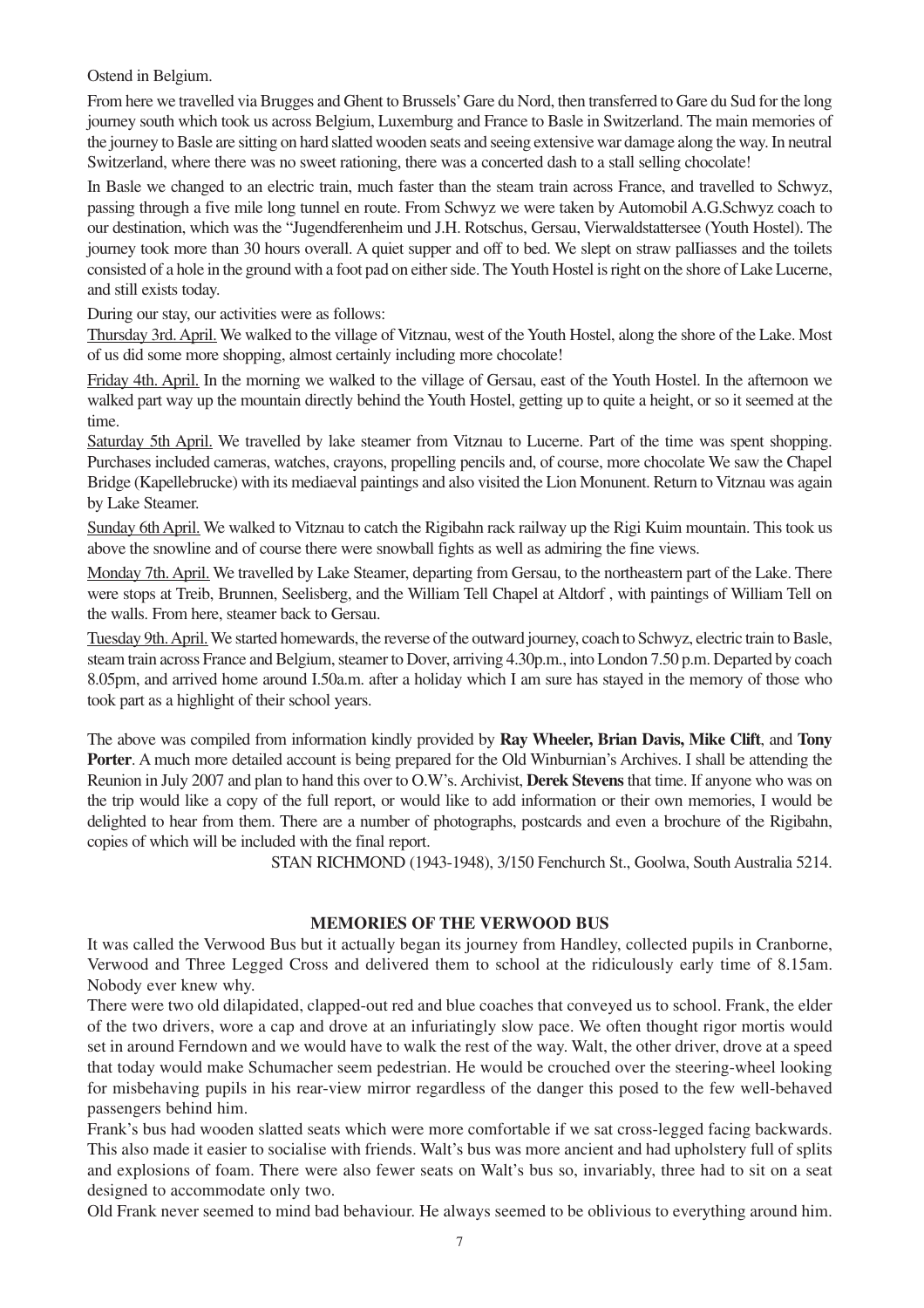Ostend in Belgium.

From here we travelled via Brugges and Ghent to Brussels'Gare du Nord, then transferred to Gare du Sud for the long journey south which took us across Belgium, Luxemburg and France to Basle in Switzerland. The main memories of the journey to Basle are sitting on hard slatted wooden seats and seeing extensive war damage along the way. In neutral Switzerland, where there was no sweet rationing, there was a concerted dash to a stall selling chocolate!

In Basle we changed to an electric train, much faster than the steam train across France, and travelled to Schwyz, passing through a five mile long tunnel en route. From Schwyz we were taken by Automobil A.G.Schwyz coach to our destination, which was the "Jugendferenheim und J.H. Rotschus, Gersau, Vierwaldstattersee (Youth Hostel). The journey took more than 30 hours overall. A quiet supper and off to bed. We slept on straw palliasses and the toilets consisted of a hole in the ground with a foot pad on either side. The Youth Hostel is right on the shore of Lake Lucerne, and still exists today.

During our stay, our activities were as follows:

Thursday 3rd. April. We walked to the village of Vitznau, west of the Youth Hostel, along the shore of the Lake. Most of us did some more shopping, almost certainly including more chocolate!

Friday 4th. April. In the morning we walked to the village of Gersau, east of the Youth Hostel. In the afternoon we walked part way up the mountain directly behind the Youth Hostel, getting up to quite a height, or so it seemed at the time.

Saturday 5th April. We travelled by lake steamer from Vitznau to Lucerne. Part of the time was spent shopping. Purchases included cameras, watches, crayons, propelling pencils and, of course, more chocolate We saw the Chapel Bridge (Kapellebrucke) with its mediaeval paintings and also visited the Lion Monunent. Return to Vitznau was again by Lake Steamer.

Sunday 6th April. We walked to Vitznau to catch the Rigibahn rack railway up the Rigi Kuim mountain. This took us above the snowline and of course there were snowball fights as well as admiring the fine views.

Monday 7th. April. We travelled by Lake Steamer, departing from Gersau, to the northeastern part of the Lake. There were stops at Treib, Brunnen, Seelisberg, and the William Tell Chapel at Altdorf , with paintings of William Tell on the walls. From here, steamer back to Gersau.

Tuesday 9th. April.We started homewards, the reverse of the outward journey, coach to Schwyz, electric train to Basle, steam train across France and Belgium, steamer to Dover, arriving 4.30p.m., into London 7.50 p.m. Departed by coach 8.05pm, and arrived home around I.50a.m. after a holiday which I am sure has stayed in the memory of those who took part as a highlight of their school years.

The above was compiled from information kindly provided by **Ray Wheeler, Brian Davis, Mike Clift**, and **Tony Porter**. A much more detailed account is being prepared for the Old Winburnian's Archives. I shall be attending the Reunion in July 2007 and plan to hand this over to O.W's. Archivist, **Derek Stevens** that time. If anyone who was on the trip would like a copy of the full report, or would like to add information or their own memories, I would be delighted to hear from them. There are a number of photographs, postcards and even a brochure of the Rigibahn, copies of which will be included with the final report.

STAN RICHMOND (1943-1948), 3/150 Fenchurch St., Goolwa, South Australia 5214.

#### **MEMORIES OF THE VERWOOD BUS**

It was called the Verwood Bus but it actually began its journey from Handley, collected pupils in Cranborne, Verwood and Three Legged Cross and delivered them to school at the ridiculously early time of 8.15am. Nobody ever knew why.

There were two old dilapidated, clapped-out red and blue coaches that conveyed us to school. Frank, the elder of the two drivers, wore a cap and drove at an infuriatingly slow pace. We often thought rigor mortis would set in around Ferndown and we would have to walk the rest of the way. Walt, the other driver, drove at a speed that today would make Schumacher seem pedestrian. He would be crouched over the steering-wheel looking for misbehaving pupils in his rear-view mirror regardless of the danger this posed to the few well-behaved passengers behind him.

Frank's bus had wooden slatted seats which were more comfortable if we sat cross-legged facing backwards. This also made it easier to socialise with friends. Walt's bus was more ancient and had upholstery full of splits and explosions of foam. There were also fewer seats on Walt's bus so, invariably, three had to sit on a seat designed to accommodate only two.

Old Frank never seemed to mind bad behaviour. He always seemed to be oblivious to everything around him.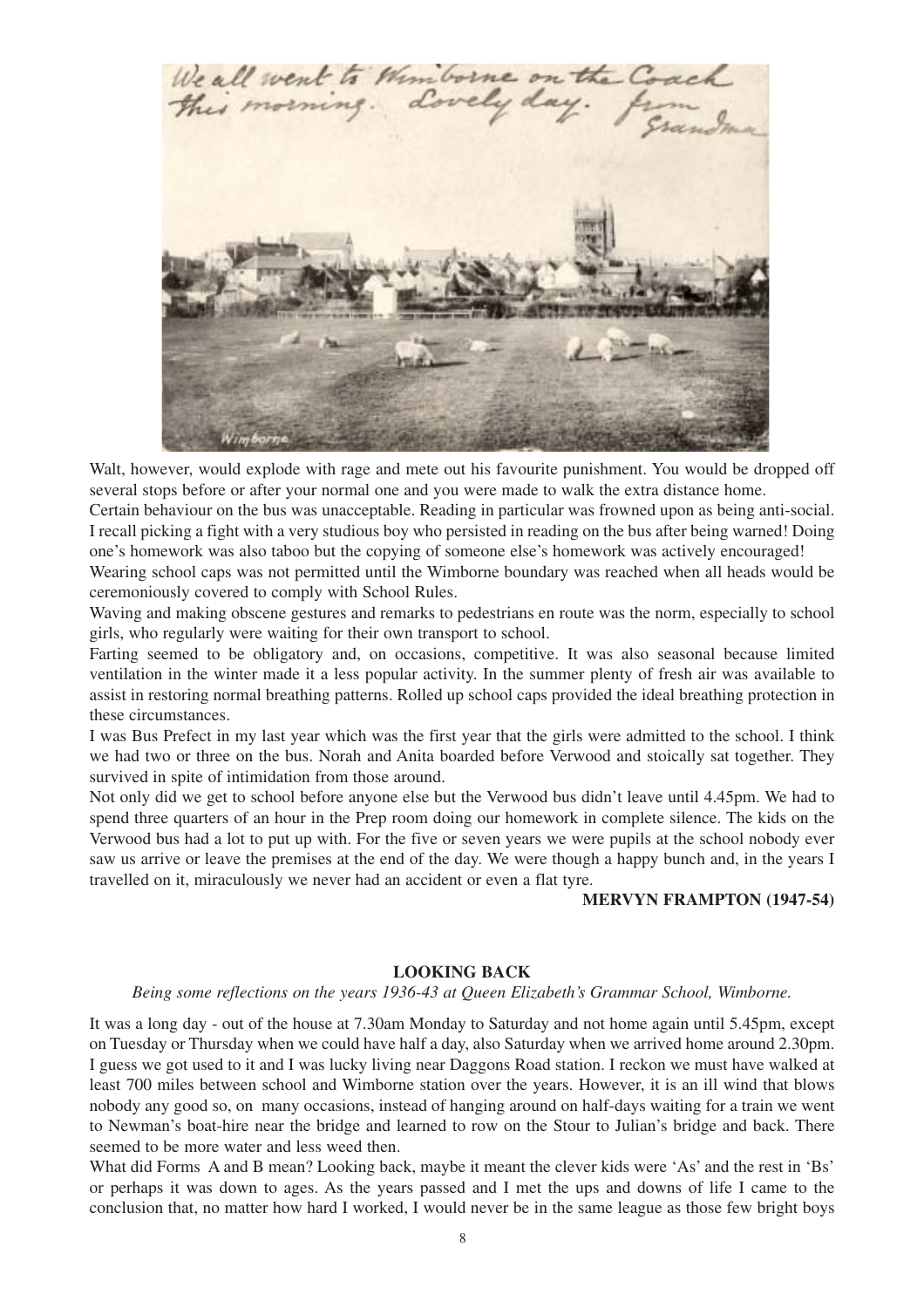

Walt, however, would explode with rage and mete out his favourite punishment. You would be dropped off several stops before or after your normal one and you were made to walk the extra distance home.

Certain behaviour on the bus was unacceptable. Reading in particular was frowned upon as being anti-social. I recall picking a fight with a very studious boy who persisted in reading on the bus after being warned! Doing one's homework was also taboo but the copying of someone else's homework was actively encouraged!

Wearing school caps was not permitted until the Wimborne boundary was reached when all heads would be ceremoniously covered to comply with School Rules.

Waving and making obscene gestures and remarks to pedestrians en route was the norm, especially to school girls, who regularly were waiting for their own transport to school.

Farting seemed to be obligatory and, on occasions, competitive. It was also seasonal because limited ventilation in the winter made it a less popular activity. In the summer plenty of fresh air was available to assist in restoring normal breathing patterns. Rolled up school caps provided the ideal breathing protection in these circumstances.

I was Bus Prefect in my last year which was the first year that the girls were admitted to the school. I think we had two or three on the bus. Norah and Anita boarded before Verwood and stoically sat together. They survived in spite of intimidation from those around.

Not only did we get to school before anyone else but the Verwood bus didn't leave until 4.45pm. We had to spend three quarters of an hour in the Prep room doing our homework in complete silence. The kids on the Verwood bus had a lot to put up with. For the five or seven years we were pupils at the school nobody ever saw us arrive or leave the premises at the end of the day. We were though a happy bunch and, in the years I travelled on it, miraculously we never had an accident or even a flat tyre.

#### **MERVYN FRAMPTON (1947-54)**

#### **LOOKING BACK**

#### *Being some reflections on the years 1936-43 at Queen Elizabeth's Grammar School, Wimborne.*

It was a long day - out of the house at 7.30am Monday to Saturday and not home again until 5.45pm, except on Tuesday or Thursday when we could have half a day, also Saturday when we arrived home around 2.30pm. I guess we got used to it and I was lucky living near Daggons Road station. I reckon we must have walked at least 700 miles between school and Wimborne station over the years. However, it is an ill wind that blows nobody any good so, on many occasions, instead of hanging around on half-days waiting for a train we went to Newman's boat-hire near the bridge and learned to row on the Stour to Julian's bridge and back. There seemed to be more water and less weed then.

What did Forms A and B mean? Looking back, maybe it meant the clever kids were 'As' and the rest in 'Bs' or perhaps it was down to ages. As the years passed and I met the ups and downs of life I came to the conclusion that, no matter how hard I worked, I would never be in the same league as those few bright boys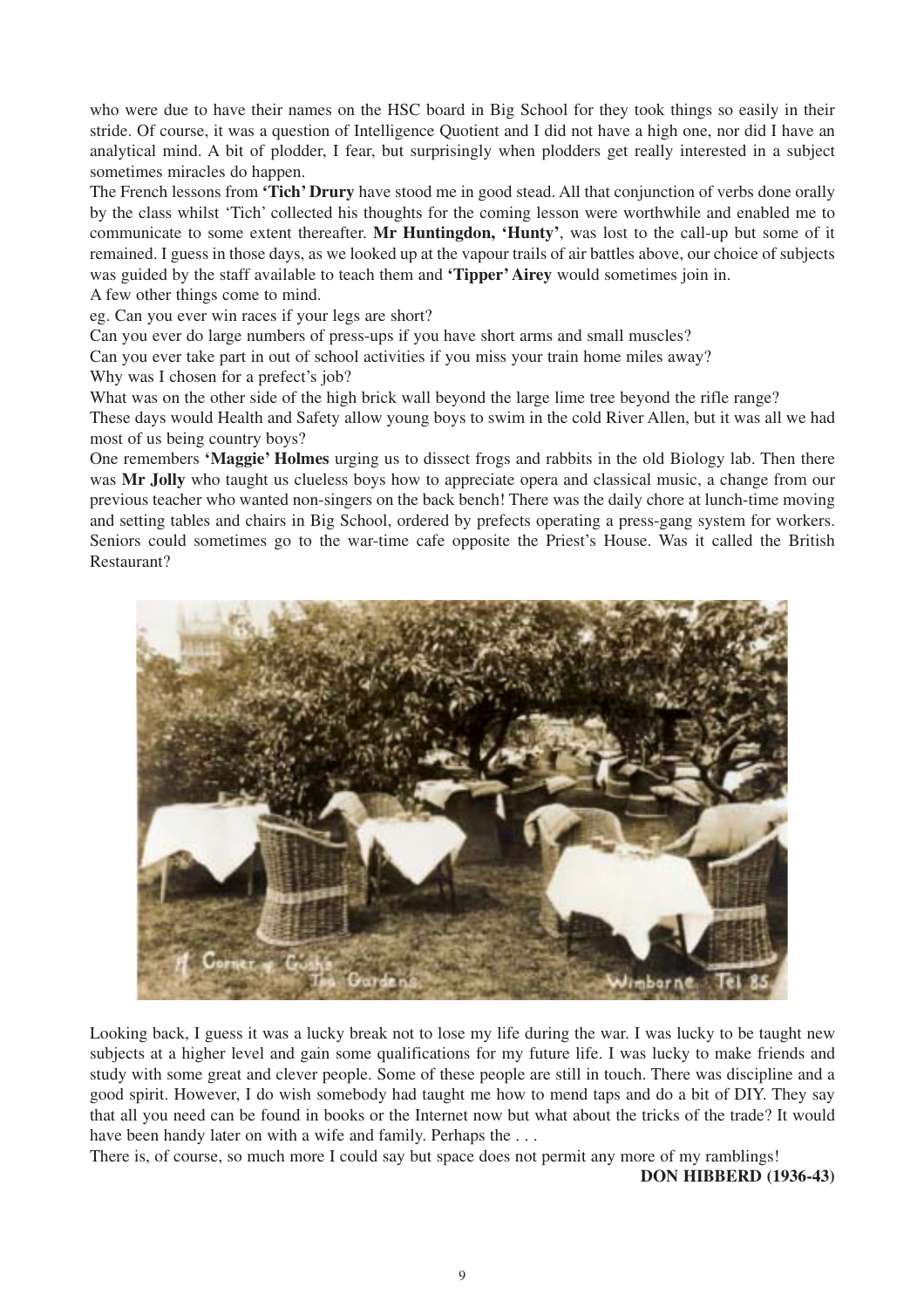who were due to have their names on the HSC board in Big School for they took things so easily in their stride. Of course, it was a question of Intelligence Quotient and I did not have a high one, nor did I have an analytical mind. A bit of plodder, I fear, but surprisingly when plodders get really interested in a subject sometimes miracles do happen.

The French lessons from **'Tich' Drury** have stood me in good stead. All that conjunction of verbs done orally by the class whilst 'Tich' collected his thoughts for the coming lesson were worthwhile and enabled me to communicate to some extent thereafter. **Mr Huntingdon, 'Hunty'**, was lost to the call-up but some of it remained. I guess in those days, as we looked up at the vapour trails of air battles above, our choice of subjects was guided by the staff available to teach them and **'Tipper' Airey** would sometimes join in. A few other things come to mind.

eg. Can you ever win races if your legs are short?

Can you ever do large numbers of press-ups if you have short arms and small muscles?

Can you ever take part in out of school activities if you miss your train home miles away? Why was I chosen for a prefect's job?

What was on the other side of the high brick wall beyond the large lime tree beyond the rifle range?

These days would Health and Safety allow young boys to swim in the cold River Allen, but it was all we had most of us being country boys?

One remembers **'Maggie' Holmes** urging us to dissect frogs and rabbits in the old Biology lab. Then there was **Mr Jolly** who taught us clueless boys how to appreciate opera and classical music, a change from our previous teacher who wanted non-singers on the back bench! There was the daily chore at lunch-time moving and setting tables and chairs in Big School, ordered by prefects operating a press-gang system for workers. Seniors could sometimes go to the war-time cafe opposite the Priest's House. Was it called the British Restaurant?



Looking back, I guess it was a lucky break not to lose my life during the war. I was lucky to be taught new subjects at a higher level and gain some qualifications for my future life. I was lucky to make friends and study with some great and clever people. Some of these people are still in touch. There was discipline and a good spirit. However, I do wish somebody had taught me how to mend taps and do a bit of DIY. They say that all you need can be found in books or the Internet now but what about the tricks of the trade? It would have been handy later on with a wife and family. Perhaps the ...

There is, of course, so much more I could say but space does not permit any more of my ramblings!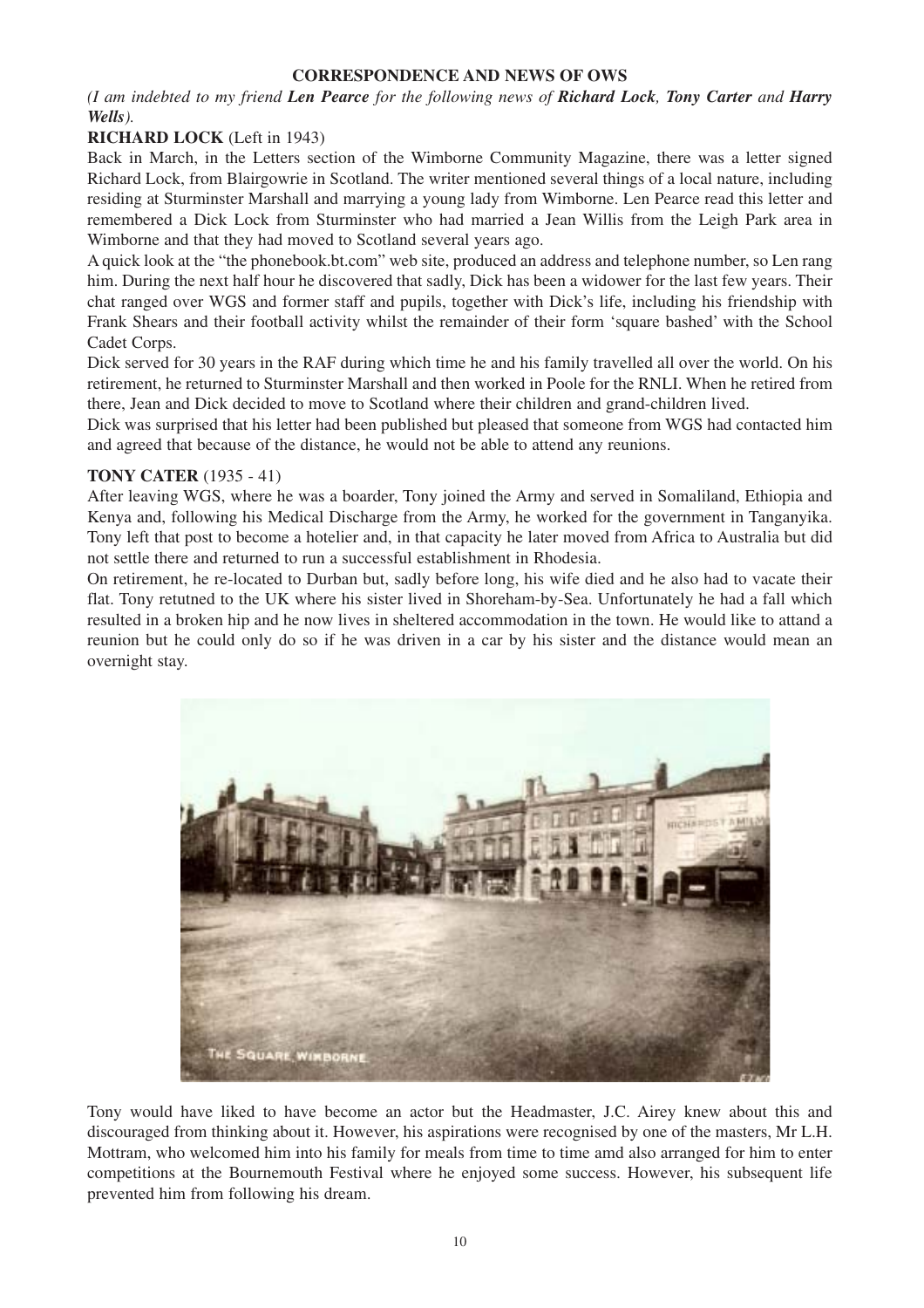# **CORRESPONDENCE AND NEWS OF OWS**

*(I am indebted to my friend Len Pearce for the following news of Richard Lock, Tony Carter and Harry Wells).*

### **RICHARD LOCK** (Left in 1943)

Back in March, in the Letters section of the Wimborne Community Magazine, there was a letter signed Richard Lock, from Blairgowrie in Scotland. The writer mentioned several things of a local nature, including residing at Sturminster Marshall and marrying a young lady from Wimborne. Len Pearce read this letter and remembered a Dick Lock from Sturminster who had married a Jean Willis from the Leigh Park area in Wimborne and that they had moved to Scotland several years ago.

A quick look at the "the phonebook.bt.com" web site, produced an address and telephone number, so Len rang him. During the next half hour he discovered that sadly, Dick has been a widower for the last few years. Their chat ranged over WGS and former staff and pupils, together with Dick's life, including his friendship with Frank Shears and their football activity whilst the remainder of their form 'square bashed' with the School Cadet Corps.

Dick served for 30 years in the RAF during which time he and his family travelled all over the world. On his retirement, he returned to Sturminster Marshall and then worked in Poole for the RNLI. When he retired from there, Jean and Dick decided to move to Scotland where their children and grand-children lived.

Dick was surprised that his letter had been published but pleased that someone from WGS had contacted him and agreed that because of the distance, he would not be able to attend any reunions.

#### **TONY CATER** (1935 - 41)

After leaving WGS, where he was a boarder, Tony joined the Army and served in Somaliland, Ethiopia and Kenya and, following his Medical Discharge from the Army, he worked for the government in Tanganyika. Tony left that post to become a hotelier and, in that capacity he later moved from Africa to Australia but did not settle there and returned to run a successful establishment in Rhodesia.

On retirement, he re-located to Durban but, sadly before long, his wife died and he also had to vacate their flat. Tony retutned to the UK where his sister lived in Shoreham-by-Sea. Unfortunately he had a fall which resulted in a broken hip and he now lives in sheltered accommodation in the town. He would like to attand a reunion but he could only do so if he was driven in a car by his sister and the distance would mean an overnight stay.



Tony would have liked to have become an actor but the Headmaster, J.C. Airey knew about this and discouraged from thinking about it. However, his aspirations were recognised by one of the masters, Mr L.H. Mottram, who welcomed him into his family for meals from time to time amd also arranged for him to enter competitions at the Bournemouth Festival where he enjoyed some success. However, his subsequent life prevented him from following his dream.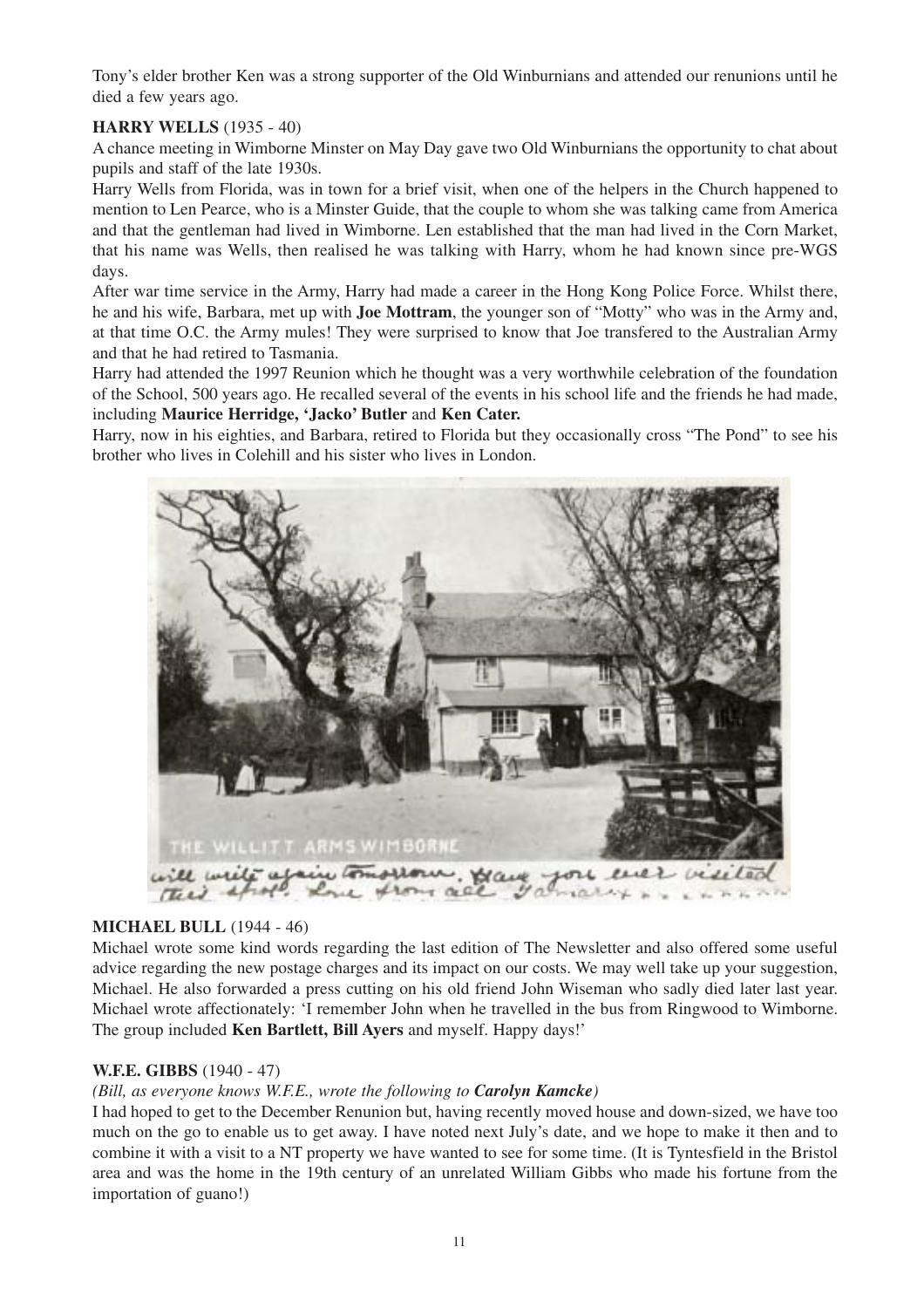Tony's elder brother Ken was a strong supporter of the Old Winburnians and attended our renunions until he died a few years ago.

# **HARRY WELLS** (1935 - 40)

A chance meeting in Wimborne Minster on May Day gave two Old Winburnians the opportunity to chat about pupils and staff of the late 1930s.

Harry Wells from Florida, was in town for a brief visit, when one of the helpers in the Church happened to mention to Len Pearce, who is a Minster Guide, that the couple to whom she was talking came from America and that the gentleman had lived in Wimborne. Len established that the man had lived in the Corn Market, that his name was Wells, then realised he was talking with Harry, whom he had known since pre-WGS days.

After war time service in the Army, Harry had made a career in the Hong Kong Police Force. Whilst there, he and his wife, Barbara, met up with **Joe Mottram**, the younger son of "Motty" who was in the Army and, at that time O.C. the Army mules! They were surprised to know that Joe transfered to the Australian Army and that he had retired to Tasmania.

Harry had attended the 1997 Reunion which he thought was a very worthwhile celebration of the foundation of the School, 500 years ago. He recalled several of the events in his school life and the friends he had made, including **Maurice Herridge, 'Jacko' Butler** and **Ken Cater.**

Harry, now in his eighties, and Barbara, retired to Florida but they occasionally cross "The Pond" to see his brother who lives in Colehill and his sister who lives in London.



# **MICHAEL BULL** (1944 - 46)

Michael wrote some kind words regarding the last edition of The Newsletter and also offered some useful advice regarding the new postage charges and its impact on our costs. We may well take up your suggestion, Michael. He also forwarded a press cutting on his old friend John Wiseman who sadly died later last year. Michael wrote affectionately: 'I remember John when he travelled in the bus from Ringwood to Wimborne. The group included **Ken Bartlett, Bill Ayers** and myself. Happy days!'

# **W.F.E. GIBBS** (1940 - 47)

# *(Bill, as everyone knows W.F.E., wrote the following to Carolyn Kamcke)*

I had hoped to get to the December Renunion but, having recently moved house and down-sized, we have too much on the go to enable us to get away. I have noted next July's date, and we hope to make it then and to combine it with a visit to a NT property we have wanted to see for some time. (It is Tyntesfield in the Bristol area and was the home in the 19th century of an unrelated William Gibbs who made his fortune from the importation of guano!)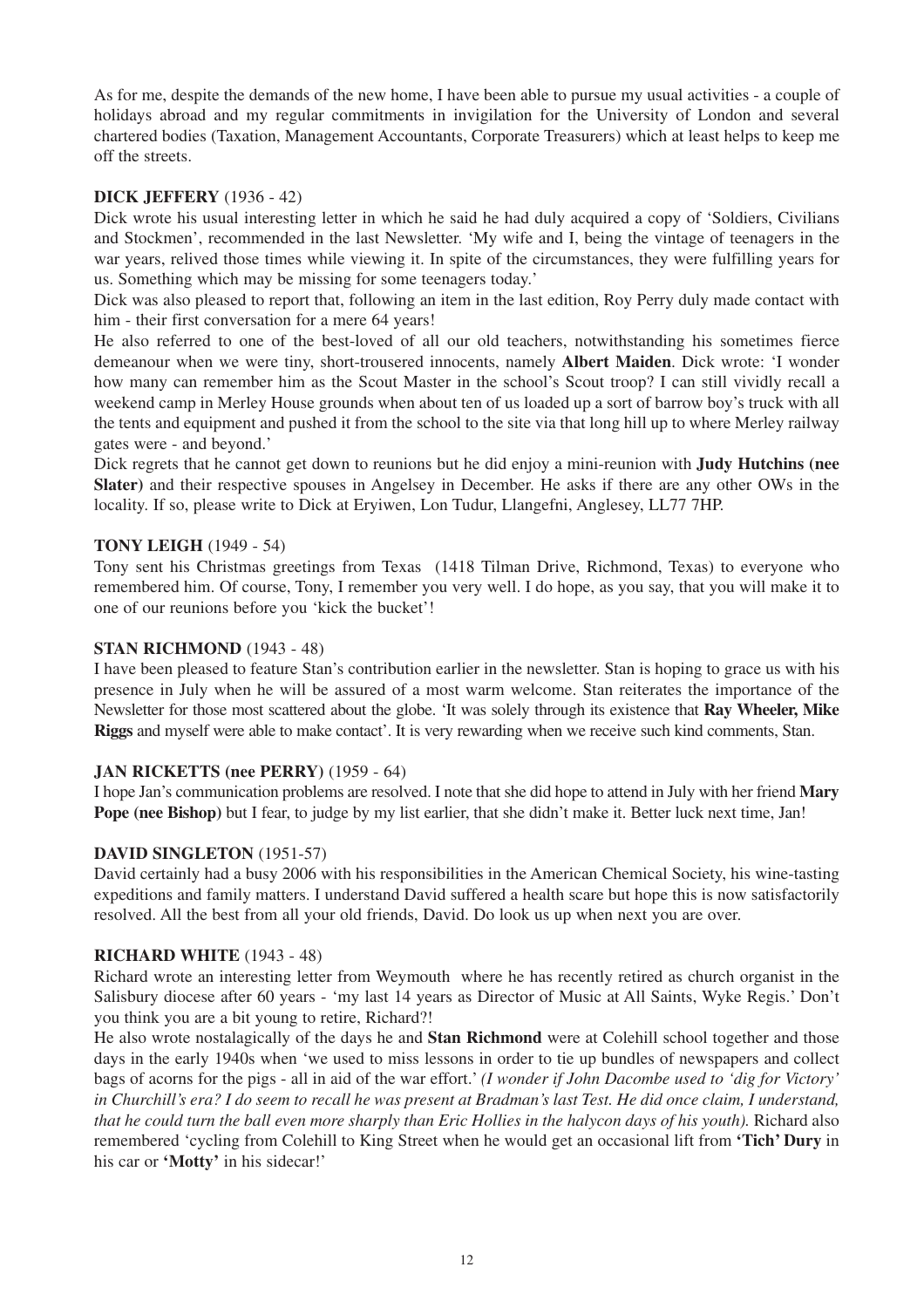As for me, despite the demands of the new home, I have been able to pursue my usual activities - a couple of holidays abroad and my regular commitments in invigilation for the University of London and several chartered bodies (Taxation, Management Accountants, Corporate Treasurers) which at least helps to keep me off the streets.

### **DICK JEFFERY** (1936 - 42)

Dick wrote his usual interesting letter in which he said he had duly acquired a copy of 'Soldiers, Civilians and Stockmen', recommended in the last Newsletter. 'My wife and I, being the vintage of teenagers in the war years, relived those times while viewing it. In spite of the circumstances, they were fulfilling years for us. Something which may be missing for some teenagers today.'

Dick was also pleased to report that, following an item in the last edition, Roy Perry duly made contact with him - their first conversation for a mere 64 years!

He also referred to one of the best-loved of all our old teachers, notwithstanding his sometimes fierce demeanour when we were tiny, short-trousered innocents, namely **Albert Maiden**. Dick wrote: 'I wonder how many can remember him as the Scout Master in the school's Scout troop? I can still vividly recall a weekend camp in Merley House grounds when about ten of us loaded up a sort of barrow boy's truck with all the tents and equipment and pushed it from the school to the site via that long hill up to where Merley railway gates were - and beyond.'

Dick regrets that he cannot get down to reunions but he did enjoy a mini-reunion with **Judy Hutchins (nee Slater)** and their respective spouses in Angelsey in December. He asks if there are any other OWs in the locality. If so, please write to Dick at Eryiwen, Lon Tudur, Llangefni, Anglesey, LL77 7HP.

### **TONY LEIGH** (1949 - 54)

Tony sent his Christmas greetings from Texas (1418 Tilman Drive, Richmond, Texas) to everyone who remembered him. Of course, Tony, I remember you very well. I do hope, as you say, that you will make it to one of our reunions before you 'kick the bucket'!

### **STAN RICHMOND** (1943 - 48)

I have been pleased to feature Stan's contribution earlier in the newsletter. Stan is hoping to grace us with his presence in July when he will be assured of a most warm welcome. Stan reiterates the importance of the Newsletter for those most scattered about the globe. 'It was solely through its existence that **Ray Wheeler, Mike Riggs** and myself were able to make contact'. It is very rewarding when we receive such kind comments, Stan.

#### **JAN RICKETTS (nee PERRY)** (1959 - 64)

I hope Jan's communication problems are resolved. I note that she did hope to attend in July with her friend **Mary Pope (nee Bishop)** but I fear, to judge by my list earlier, that she didn't make it. Better luck next time, Jan!

#### **DAVID SINGLETON** (1951-57)

David certainly had a busy 2006 with his responsibilities in the American Chemical Society, his wine-tasting expeditions and family matters. I understand David suffered a health scare but hope this is now satisfactorily resolved. All the best from all your old friends, David. Do look us up when next you are over.

#### **RICHARD WHITE** (1943 - 48)

Richard wrote an interesting letter from Weymouth where he has recently retired as church organist in the Salisbury diocese after 60 years - 'my last 14 years as Director of Music at All Saints, Wyke Regis.' Don't you think you are a bit young to retire, Richard?!

He also wrote nostalagically of the days he and **Stan Richmond** were at Colehill school together and those days in the early 1940s when 'we used to miss lessons in order to tie up bundles of newspapers and collect bags of acorns for the pigs - all in aid of the war effort.' *(I wonder if John Dacombe used to 'dig for Victory' in Churchill's era? I do seem to recall he was present at Bradman's last Test. He did once claim, I understand, that he could turn the ball even more sharply than Eric Hollies in the halycon days of his youth).* Richard also remembered 'cycling from Colehill to King Street when he would get an occasional lift from **'Tich' Dury** in his car or **'Motty'** in his sidecar!'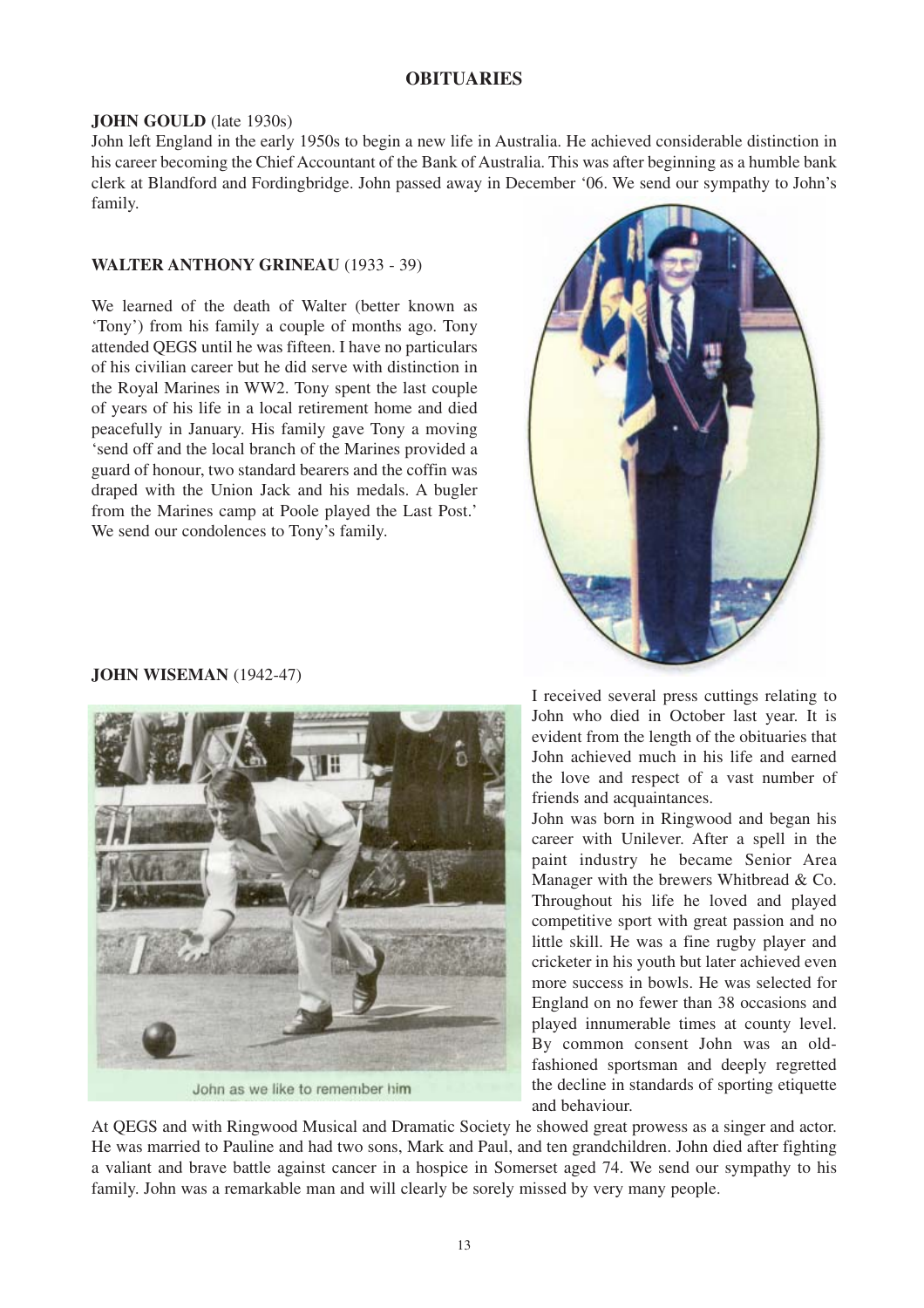### **OBITUARIES**

#### **JOHN GOULD** (late 1930s)

John left England in the early 1950s to begin a new life in Australia. He achieved considerable distinction in his career becoming the Chief Accountant of the Bank of Australia. This was after beginning as a humble bank clerk at Blandford and Fordingbridge. John passed away in December '06. We send our sympathy to John's family.

#### **WALTER ANTHONY GRINEAU** (1933 - 39)

We learned of the death of Walter (better known as 'Tony') from his family a couple of months ago. Tony attended QEGS until he was fifteen. I have no particulars of his civilian career but he did serve with distinction in the Royal Marines in WW2. Tony spent the last couple of years of his life in a local retirement home and died peacefully in January. His family gave Tony a moving 'send off and the local branch of the Marines provided a guard of honour, two standard bearers and the coffin was draped with the Union Jack and his medals. A bugler from the Marines camp at Poole played the Last Post.' We send our condolences to Tony's family.



# **JOHN WISEMAN** (1942-47)



John as we like to remember him

I received several press cuttings relating to John who died in October last year. It is evident from the length of the obituaries that John achieved much in his life and earned the love and respect of a vast number of friends and acquaintances.

John was born in Ringwood and began his career with Unilever. After a spell in the paint industry he became Senior Area Manager with the brewers Whitbread & Co. Throughout his life he loved and played competitive sport with great passion and no little skill. He was a fine rugby player and cricketer in his youth but later achieved even more success in bowls. He was selected for England on no fewer than 38 occasions and played innumerable times at county level. By common consent John was an oldfashioned sportsman and deeply regretted the decline in standards of sporting etiquette and behaviour.

At QEGS and with Ringwood Musical and Dramatic Society he showed great prowess as a singer and actor. He was married to Pauline and had two sons, Mark and Paul, and ten grandchildren. John died after fighting a valiant and brave battle against cancer in a hospice in Somerset aged 74. We send our sympathy to his family. John was a remarkable man and will clearly be sorely missed by very many people.